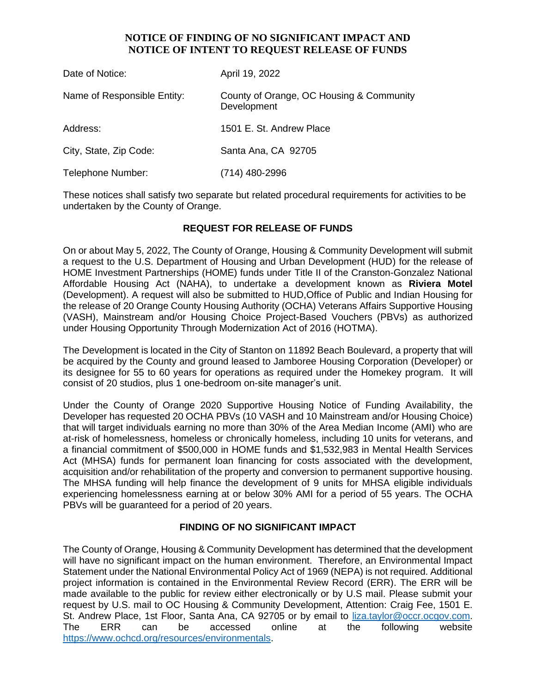## **NOTICE OF FINDING OF NO SIGNIFICANT IMPACT AND NOTICE OF INTENT TO REQUEST RELEASE OF FUNDS**

| Date of Notice:             | April 19, 2022                                          |
|-----------------------------|---------------------------------------------------------|
| Name of Responsible Entity: | County of Orange, OC Housing & Community<br>Development |
| Address:                    | 1501 E. St. Andrew Place                                |
| City, State, Zip Code:      | Santa Ana, CA 92705                                     |
| Telephone Number:           | (714) 480-2996                                          |

These notices shall satisfy two separate but related procedural requirements for activities to be undertaken by the County of Orange.

## **REQUEST FOR RELEASE OF FUNDS**

On or about May 5, 2022, The County of Orange, Housing & Community Development will submit a request to the U.S. Department of Housing and Urban Development (HUD) for the release of HOME Investment Partnerships (HOME) funds under Title II of the Cranston-Gonzalez National Affordable Housing Act (NAHA), to undertake a development known as **Riviera Motel**  (Development). A request will also be submitted to HUD,Office of Public and Indian Housing for the release of 20 Orange County Housing Authority (OCHA) Veterans Affairs Supportive Housing (VASH), Mainstream and/or Housing Choice Project-Based Vouchers (PBVs) as authorized under Housing Opportunity Through Modernization Act of 2016 (HOTMA).

The Development is located in the City of Stanton on 11892 Beach Boulevard, a property that will be acquired by the County and ground leased to Jamboree Housing Corporation (Developer) or its designee for 55 to 60 years for operations as required under the Homekey program. It will consist of 20 studios, plus 1 one-bedroom on-site manager's unit.

Under the County of Orange 2020 Supportive Housing Notice of Funding Availability, the Developer has requested 20 OCHA PBVs (10 VASH and 10 Mainstream and/or Housing Choice) that will target individuals earning no more than 30% of the Area Median Income (AMI) who are at-risk of homelessness, homeless or chronically homeless, including 10 units for veterans, and a financial commitment of \$500,000 in HOME funds and \$1,532,983 in Mental Health Services Act (MHSA) funds for permanent loan financing for costs associated with the development, acquisition and/or rehabilitation of the property and conversion to permanent supportive housing. The MHSA funding will help finance the development of 9 units for MHSA eligible individuals experiencing homelessness earning at or below 30% AMI for a period of 55 years. The OCHA PBVs will be guaranteed for a period of 20 years.

## **FINDING OF NO SIGNIFICANT IMPACT**

The County of Orange, Housing & Community Development has determined that the development will have no significant impact on the human environment. Therefore, an Environmental Impact Statement under the National Environmental Policy Act of 1969 (NEPA) is not required. Additional project information is contained in the Environmental Review Record (ERR). The ERR will be made available to the public for review either electronically or by U.S mail. Please submit your request by U.S. mail to OC Housing & Community Development, Attention: Craig Fee, 1501 E. St. Andrew Place, 1st Floor, Santa Ana, CA 92705 or by email to [liza.taylor@occr.ocgov.com.](mailto:liza.taylor@occr.ocgov.com) The ERR can be accessed online at the following website https://www.ochcd.org/resources/environmentals.